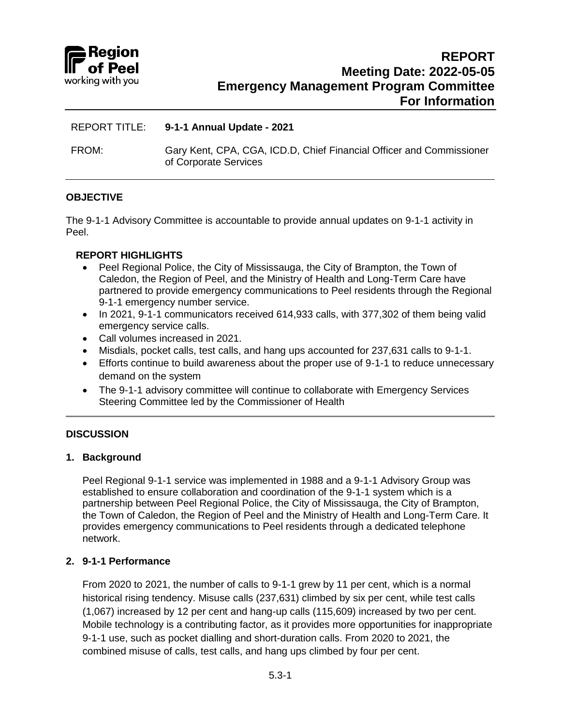

## REPORT TITLE: **9-1-1 Annual Update - 2021**

FROM: Gary Kent, CPA, CGA, ICD.D, Chief Financial Officer and Commissioner of Corporate Services

## **OBJECTIVE**

The 9-1-1 Advisory Committee is accountable to provide annual updates on 9-1-1 activity in Peel.

## **REPORT HIGHLIGHTS**

- Peel Regional Police, the City of Mississauga, the City of Brampton, the Town of Caledon, the Region of Peel, and the Ministry of Health and Long-Term Care have partnered to provide emergency communications to Peel residents through the Regional 9-1-1 emergency number service.
- In 2021, 9-1-1 communicators received 614,933 calls, with 377,302 of them being valid emergency service calls.
- Call volumes increased in 2021.
- Misdials, pocket calls, test calls, and hang ups accounted for 237,631 calls to 9-1-1.
- Efforts continue to build awareness about the proper use of 9-1-1 to reduce unnecessary demand on the system
- The 9-1-1 advisory committee will continue to collaborate with Emergency Services Steering Committee led by the Commissioner of Health

## **DISCUSSION**

#### **1. Background**

Peel Regional 9-1-1 service was implemented in 1988 and a 9-1-1 Advisory Group was established to ensure collaboration and coordination of the 9-1-1 system which is a partnership between Peel Regional Police, the City of Mississauga, the City of Brampton, the Town of Caledon, the Region of Peel and the Ministry of Health and Long-Term Care. It provides emergency communications to Peel residents through a dedicated telephone network.

## **2. 9-1-1 Performance**

From 2020 to 2021, the number of calls to 9-1-1 grew by 11 per cent, which is a normal historical rising tendency. Misuse calls (237,631) climbed by six per cent, while test calls (1,067) increased by 12 per cent and hang-up calls (115,609) increased by two per cent. Mobile technology is a contributing factor, as it provides more opportunities for inappropriate 9-1-1 use, such as pocket dialling and short-duration calls. From 2020 to 2021, the combined misuse of calls, test calls, and hang ups climbed by four per cent.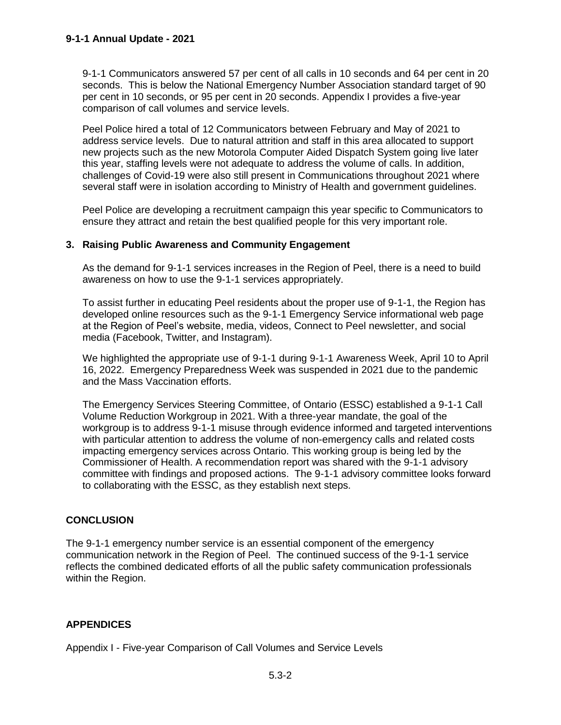9-1-1 Communicators answered 57 per cent of all calls in 10 seconds and 64 per cent in 20 seconds. This is below the National Emergency Number Association standard target of 90 per cent in 10 seconds, or 95 per cent in 20 seconds. Appendix I provides a five-year comparison of call volumes and service levels.

Peel Police hired a total of 12 Communicators between February and May of 2021 to address service levels. Due to natural attrition and staff in this area allocated to support new projects such as the new Motorola Computer Aided Dispatch System going live later this year, staffing levels were not adequate to address the volume of calls. In addition, challenges of Covid-19 were also still present in Communications throughout 2021 where several staff were in isolation according to Ministry of Health and government guidelines.

Peel Police are developing a recruitment campaign this year specific to Communicators to ensure they attract and retain the best qualified people for this very important role.

## **3. Raising Public Awareness and Community Engagement**

As the demand for 9-1-1 services increases in the Region of Peel, there is a need to build awareness on how to use the 9-1-1 services appropriately.

To assist further in educating Peel residents about the proper use of 9-1-1, the Region has developed online resources such as the 9-1-1 Emergency Service informational web page [at the Region of Peel's website,](https://www.peelregion.ca/contactus/911.asp#:~:text=Peel%20Region%20%E2%80%93%20905%2D453%2D3311) media, videos, Connect to Peel newsletter, and social media (Facebook, Twitter, and Instagram).

We highlighted the appropriate use of 9-1-1 during 9-1-1 Awareness Week, April 10 to April 16, 2022. Emergency Preparedness Week was suspended in 2021 due to the pandemic and the Mass Vaccination efforts.

The Emergency Services Steering Committee, of Ontario (ESSC) established a 9-1-1 Call Volume Reduction Workgroup in 2021. With a three-year mandate, the goal of the workgroup is to address 9-1-1 misuse through evidence informed and targeted interventions with particular attention to address the volume of non-emergency calls and related costs impacting emergency services across Ontario. This working group is being led by the Commissioner of Health. A recommendation report was shared with the 9-1-1 advisory committee with findings and proposed actions. The 9-1-1 advisory committee looks forward to collaborating with the ESSC, as they establish next steps.

# **CONCLUSION**

The 9-1-1 emergency number service is an essential component of the emergency communication network in the Region of Peel. The continued success of the 9-1-1 service reflects the combined dedicated efforts of all the public safety communication professionals within the Region.

# **APPENDICES**

Appendix I - Five-year Comparison of Call Volumes and Service Levels